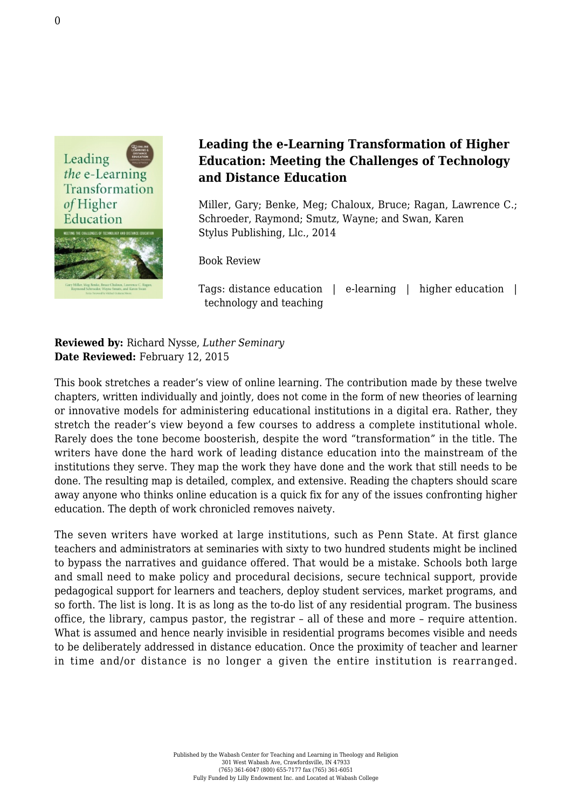

## **Leading the e-Learning Transformation of Higher Education: Meeting the Challenges of Technology and Distance Education**

Miller, Gary; Benke, Meg; Chaloux, Bruce; Ragan, Lawrence C.; Schroeder, Raymond; Smutz, Wayne; and Swan, Karen [Stylus Publishing, Llc., 2014](http://stylus.styluspub.com/Books/BookDetail.aspx?productID=295407)

Book Review

Tags: distance education | e-learning | higher education | technology and teaching

**Reviewed by:** Richard Nysse, *Luther Seminary* **Date Reviewed:** February 12, 2015

This book stretches a reader's view of online learning. The contribution made by these twelve chapters, written individually and jointly, does not come in the form of new theories of learning or innovative models for administering educational institutions in a digital era. Rather, they stretch the reader's view beyond a few courses to address a complete institutional whole. Rarely does the tone become boosterish, despite the word "transformation" in the title. The writers have done the hard work of leading distance education into the mainstream of the institutions they serve. They map the work they have done and the work that still needs to be done. The resulting map is detailed, complex, and extensive. Reading the chapters should scare away anyone who thinks online education is a quick fix for any of the issues confronting higher education. The depth of work chronicled removes naivety.

The seven writers have worked at large institutions, such as Penn State. At first glance teachers and administrators at seminaries with sixty to two hundred students might be inclined to bypass the narratives and guidance offered. That would be a mistake. Schools both large and small need to make policy and procedural decisions, secure technical support, provide pedagogical support for learners and teachers, deploy student services, market programs, and so forth. The list is long. It is as long as the to-do list of any residential program. The business office, the library, campus pastor, the registrar – all of these and more – require attention. What is assumed and hence nearly invisible in residential programs becomes visible and needs to be deliberately addressed in distance education. Once the proximity of teacher and learner in time and/or distance is no longer a given the entire institution is rearranged.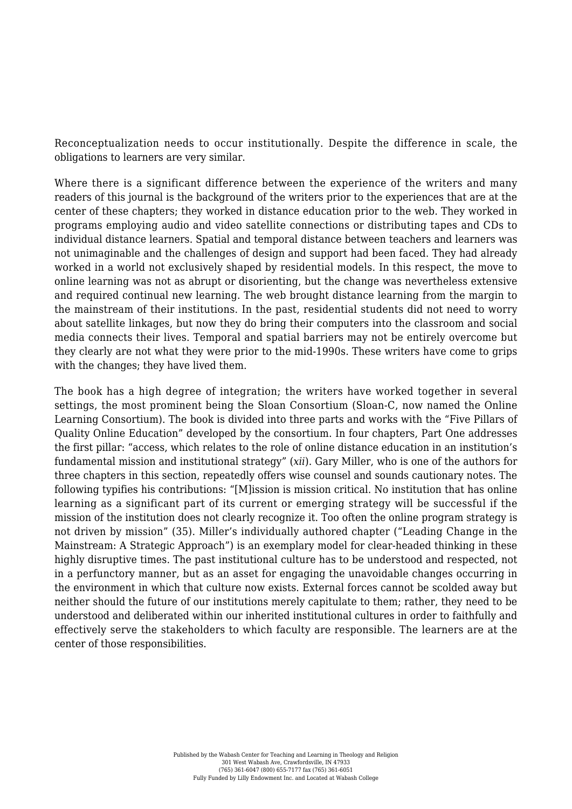Reconceptualization needs to occur institutionally. Despite the difference in scale, the obligations to learners are very similar.

Where there is a significant difference between the experience of the writers and many readers of this journal is the background of the writers prior to the experiences that are at the center of these chapters; they worked in distance education prior to the web. They worked in programs employing audio and video satellite connections or distributing tapes and CDs to individual distance learners. Spatial and temporal distance between teachers and learners was not unimaginable and the challenges of design and support had been faced. They had already worked in a world not exclusively shaped by residential models. In this respect, the move to online learning was not as abrupt or disorienting, but the change was nevertheless extensive and required continual new learning. The web brought distance learning from the margin to the mainstream of their institutions. In the past, residential students did not need to worry about satellite linkages, but now they do bring their computers into the classroom and social media connects their lives. Temporal and spatial barriers may not be entirely overcome but they clearly are not what they were prior to the mid-1990s. These writers have come to grips with the changes; they have lived them.

The book has a high degree of integration; the writers have worked together in several settings, the most prominent being the Sloan Consortium (Sloan-C, now named the Online Learning Consortium). The book is divided into three parts and works with the "Five Pillars of Quality Online Education" developed by the consortium. In four chapters, Part One addresses the first pillar: "access, which relates to the role of online distance education in an institution's fundamental mission and institutional strategy" (*xii*). Gary Miller, who is one of the authors for three chapters in this section, repeatedly offers wise counsel and sounds cautionary notes. The following typifies his contributions: "[M]ission is mission critical. No institution that has online learning as a significant part of its current or emerging strategy will be successful if the mission of the institution does not clearly recognize it. Too often the online program strategy is not driven by mission" (35). Miller's individually authored chapter ("Leading Change in the Mainstream: A Strategic Approach") is an exemplary model for clear-headed thinking in these highly disruptive times. The past institutional culture has to be understood and respected, not in a perfunctory manner, but as an asset for engaging the unavoidable changes occurring in the environment in which that culture now exists. External forces cannot be scolded away but neither should the future of our institutions merely capitulate to them; rather, they need to be understood and deliberated within our inherited institutional cultures in order to faithfully and effectively serve the stakeholders to which faculty are responsible. The learners are at the center of those responsibilities.